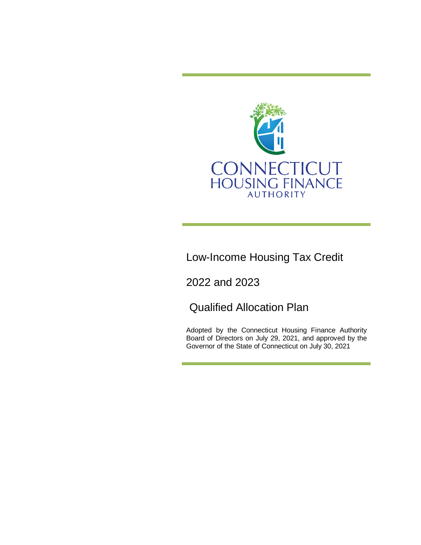

Low-Income Housing Tax Credit

2022 and 2023

Qualified Allocation Plan

Adopted by the Connecticut Housing Finance Authority Board of Directors on July 29, 2021, and approved by the Governor of the State of Connecticut on July 30, 2021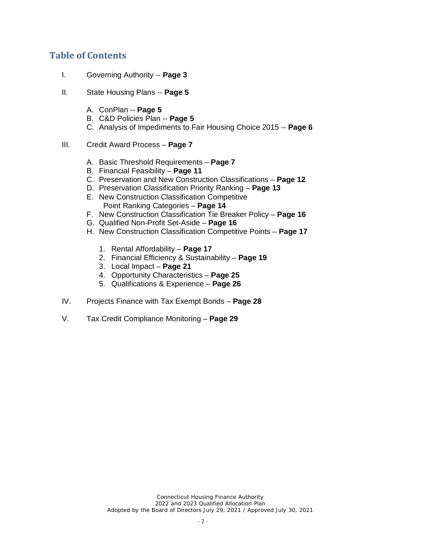# **Table of Contents**

- I. Governing Authority -- **Page 3**
- II. State Housing Plans -- **Page 5**
	- A. ConPlan -- **Page 5**
	- B. C&D Policies Plan -- **Page 5**
	- C. Analysis of Impediments to Fair Housing Choice 2015 -- **Page 6**
- III. Credit Award Process **Page 7**
	- A. Basic Threshold Requirements **Page 7**
	- B. Financial Feasibility **Page 11**
	- C. Preservation and New Construction Classifications **Page 12**
	- D. Preservation Classification Priority Ranking **Page 13**
	- E. New Construction Classification Competitive Point Ranking Categories – **Page 14**
	- F. New Construction Classification Tie Breaker Policy **Page 16**
	- G. Qualified Non-Profit Set-Aside **Page 16**
	- H. New Construction Classification Competitive Points **Page 17**
		- 1. Rental Affordability **Page 17**
		- 2. Financial Efficiency & Sustainability **Page 19**
		- 3. Local Impact **Page 21**
		- 4. Opportunity Characteristics **Page 25**
		- 5. Qualifications & Experience **Page 26**
- IV. Projects Finance with Tax Exempt Bonds **Page 28**
- V. Tax Credit Compliance Monitoring **Page 29**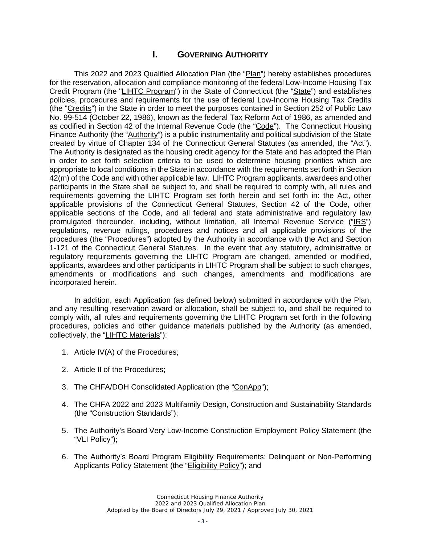# **I. GOVERNING AUTHORITY**

This 2022 and 2023 Qualified Allocation Plan (the "Plan") hereby establishes procedures for the reservation, allocation and compliance monitoring of the federal Low-Income Housing Tax Credit Program (the "LIHTC Program") in the State of Connecticut (the "State") and establishes policies, procedures and requirements for the use of federal Low-Income Housing Tax Credits (the "Credits") in the State in order to meet the purposes contained in Section 252 of Public Law No. 99-514 (October 22, 1986), known as the federal Tax Reform Act of 1986, as amended and as codified in Section 42 of the Internal Revenue Code (the "Code"). The Connecticut Housing Finance Authority (the "Authority") is a public instrumentality and political subdivision of the State created by virtue of Chapter 134 of the Connecticut General Statutes (as amended, the "Act"). The Authority is designated as the housing credit agency for the State and has adopted the Plan in order to set forth selection criteria to be used to determine housing priorities which are appropriate to local conditions in the State in accordance with the requirements set forth in Section 42(m) of the Code and with other applicable law. LIHTC Program applicants, awardees and other participants in the State shall be subject to, and shall be required to comply with, all rules and requirements governing the LIHTC Program set forth herein and set forth in: the Act, other applicable provisions of the Connecticut General Statutes, Section 42 of the Code, other applicable sections of the Code, and all federal and state administrative and regulatory law promulgated thereunder, including, without limitation, all Internal Revenue Service ("IRS") regulations, revenue rulings, procedures and notices and all applicable provisions of the procedures (the "Procedures") adopted by the Authority in accordance with the Act and Section 1-121 of the Connecticut General Statutes. In the event that any statutory, administrative or regulatory requirements governing the LIHTC Program are changed, amended or modified, applicants, awardees and other participants in LIHTC Program shall be subject to such changes, amendments or modifications and such changes, amendments and modifications are incorporated herein.

In addition, each Application (as defined below) submitted in accordance with the Plan, and any resulting reservation award or allocation, shall be subject to, and shall be required to comply with, all rules and requirements governing the LIHTC Program set forth in the following procedures, policies and other guidance materials published by the Authority (as amended, collectively, the "LIHTC Materials"):

- 1. Article IV(A) of the Procedures;
- 2. Article II of the Procedures;
- 3. The CHFA/DOH Consolidated Application (the "ConApp");
- 4. The CHFA 2022 and 2023 Multifamily Design, Construction and Sustainability Standards (the "Construction Standards");
- 5. The Authority's Board Very Low-Income Construction Employment Policy Statement (the "VLI Policy");
- 6. The Authority's Board Program Eligibility Requirements: Delinquent or Non-Performing Applicants Policy Statement (the "Eligibility Policy"); and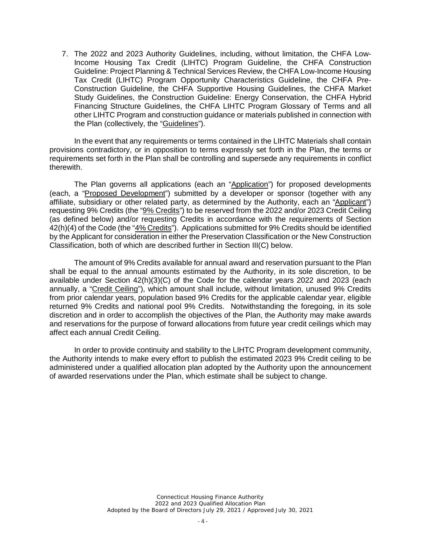7. The 2022 and 2023 Authority Guidelines, including, without limitation, the CHFA Low-Income Housing Tax Credit (LIHTC) Program Guideline, the CHFA Construction Guideline: Project Planning & Technical Services Review, the CHFA Low-Income Housing Tax Credit (LIHTC) Program Opportunity Characteristics Guideline, the CHFA Pre-Construction Guideline, the CHFA Supportive Housing Guidelines, the CHFA Market Study Guidelines, the Construction Guideline: Energy Conservation, the CHFA Hybrid Financing Structure Guidelines, the CHFA LIHTC Program Glossary of Terms and all other LIHTC Program and construction guidance or materials published in connection with the Plan (collectively, the "Guidelines").

In the event that any requirements or terms contained in the LIHTC Materials shall contain provisions contradictory, or in opposition to terms expressly set forth in the Plan, the terms or requirements set forth in the Plan shall be controlling and supersede any requirements in conflict therewith.

The Plan governs all applications (each an "Application") for proposed developments (each, a "Proposed Development") submitted by a developer or sponsor (together with any affiliate, subsidiary or other related party, as determined by the Authority, each an "Applicant") requesting 9% Credits (the "9% Credits") to be reserved from the 2022 and/or 2023 Credit Ceiling (as defined below) and/or requesting Credits in accordance with the requirements of Section 42(h)(4) of the Code (the "4% Credits"). Applications submitted for 9% Credits should be identified by the Applicant for consideration in either the Preservation Classification or the New Construction Classification, both of which are described further in Section III(C) below.

The amount of 9% Credits available for annual award and reservation pursuant to the Plan shall be equal to the annual amounts estimated by the Authority, in its sole discretion, to be available under Section 42(h)(3)(C) of the Code for the calendar years 2022 and 2023 (each annually, a "Credit Ceiling"), which amount shall include, without limitation, unused 9% Credits from prior calendar years, population based 9% Credits for the applicable calendar year, eligible returned 9% Credits and national pool 9% Credits. Notwithstanding the foregoing, in its sole discretion and in order to accomplish the objectives of the Plan, the Authority may make awards and reservations for the purpose of forward allocations from future year credit ceilings which may affect each annual Credit Ceiling.

In order to provide continuity and stability to the LIHTC Program development community, the Authority intends to make every effort to publish the estimated 2023 9% Credit ceiling to be administered under a qualified allocation plan adopted by the Authority upon the announcement of awarded reservations under the Plan, which estimate shall be subject to change.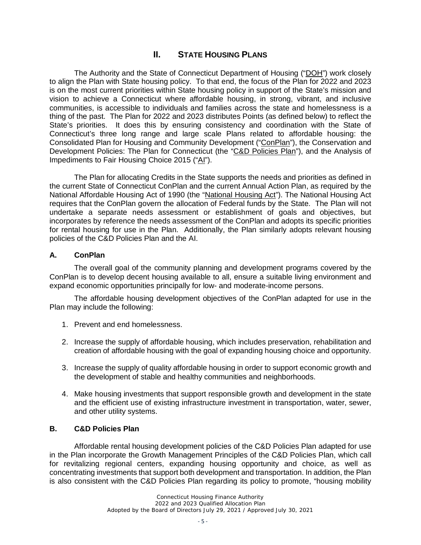# **II. STATE HOUSING PLANS**

The Authority and the State of Connecticut Department of Housing ("DOH") work closely to align the Plan with State housing policy. To that end, the focus of the Plan for 2022 and 2023 is on the most current priorities within State housing policy in support of the State's mission and vision to achieve a Connecticut where affordable housing, in strong, vibrant, and inclusive communities, is accessible to individuals and families across the state and homelessness is a thing of the past. The Plan for 2022 and 2023 distributes Points (as defined below) to reflect the State's priorities. It does this by ensuring consistency and coordination with the State of Connecticut's three long range and large scale Plans related to affordable housing: the Consolidated Plan for Housing and Community Development ("ConPlan"), the Conservation and Development Policies: The Plan for Connecticut (the "C&D Policies Plan"), and the Analysis of Impediments to Fair Housing Choice 2015 ("AI").

The Plan for allocating Credits in the State supports the needs and priorities as defined in the current State of Connecticut ConPlan and the current Annual Action Plan, as required by the National Affordable Housing Act of 1990 (the "National Housing Act"). The National Housing Act requires that the ConPlan govern the allocation of Federal funds by the State. The Plan will not undertake a separate needs assessment or establishment of goals and objectives, but incorporates by reference the needs assessment of the ConPlan and adopts its specific priorities for rental housing for use in the Plan. Additionally, the Plan similarly adopts relevant housing policies of the C&D Policies Plan and the AI.

#### **A. ConPlan**

The overall goal of the community planning and development programs covered by the ConPlan is to develop decent housing available to all, ensure a suitable living environment and expand economic opportunities principally for low- and moderate-income persons.

The affordable housing development objectives of the ConPlan adapted for use in the Plan may include the following:

- 1. Prevent and end homelessness.
- 2. Increase the supply of affordable housing, which includes preservation, rehabilitation and creation of affordable housing with the goal of expanding housing choice and opportunity.
- 3. Increase the supply of quality affordable housing in order to support economic growth and the development of stable and healthy communities and neighborhoods.
- 4. Make housing investments that support responsible growth and development in the state and the efficient use of existing infrastructure investment in transportation, water, sewer, and other utility systems.

#### **B. C&D Policies Plan**

Affordable rental housing development policies of the C&D Policies Plan adapted for use in the Plan incorporate the Growth Management Principles of the C&D Policies Plan, which call for revitalizing regional centers, expanding housing opportunity and choice, as well as concentrating investments that support both development and transportation. In addition, the Plan is also consistent with the C&D Policies Plan regarding its policy to promote, "housing mobility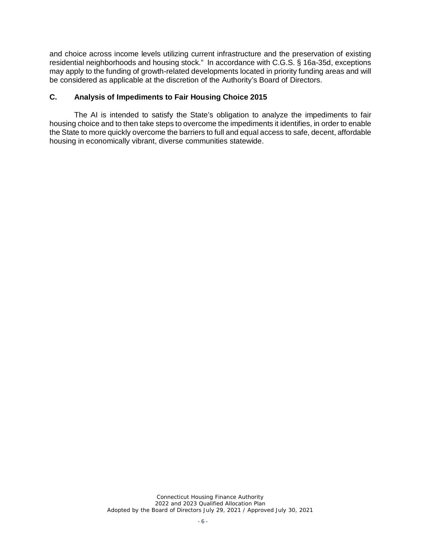and choice across income levels utilizing current infrastructure and the preservation of existing residential neighborhoods and housing stock." In accordance with C.G.S. § 16a-35d, exceptions may apply to the funding of growth-related developments located in priority funding areas and will be considered as applicable at the discretion of the Authority's Board of Directors.

#### **C. Analysis of Impediments to Fair Housing Choice 2015**

The AI is intended to satisfy the State's obligation to analyze the impediments to fair housing choice and to then take steps to overcome the impediments it identifies, in order to enable the State to more quickly overcome the barriers to full and equal access to safe, decent, affordable housing in economically vibrant, diverse communities statewide.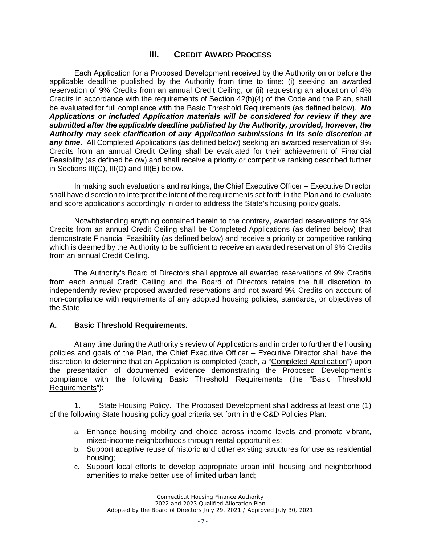# **III. CREDIT AWARD PROCESS**

Each Application for a Proposed Development received by the Authority on or before the applicable deadline published by the Authority from time to time: (i) seeking an awarded reservation of 9% Credits from an annual Credit Ceiling, or (ii) requesting an allocation of 4% Credits in accordance with the requirements of Section 42(h)(4) of the Code and the Plan, shall be evaluated for full compliance with the Basic Threshold Requirements (as defined below). *No Applications or included Application materials will be considered for review if they are submitted after the applicable deadline published by the Authority, provided, however, the Authority may seek clarification of any Application submissions in its sole discretion at any time.* All Completed Applications (as defined below) seeking an awarded reservation of 9% Credits from an annual Credit Ceiling shall be evaluated for their achievement of Financial Feasibility (as defined below) and shall receive a priority or competitive ranking described further in Sections III(C), III(D) and III(E) below.

In making such evaluations and rankings, the Chief Executive Officer – Executive Director shall have discretion to interpret the intent of the requirements set forth in the Plan and to evaluate and score applications accordingly in order to address the State's housing policy goals.

Notwithstanding anything contained herein to the contrary, awarded reservations for 9% Credits from an annual Credit Ceiling shall be Completed Applications (as defined below) that demonstrate Financial Feasibility (as defined below) and receive a priority or competitive ranking which is deemed by the Authority to be sufficient to receive an awarded reservation of 9% Credits from an annual Credit Ceiling.

The Authority's Board of Directors shall approve all awarded reservations of 9% Credits from each annual Credit Ceiling and the Board of Directors retains the full discretion to independently review proposed awarded reservations and not award 9% Credits on account of non-compliance with requirements of any adopted housing policies, standards, or objectives of the State.

#### **A. Basic Threshold Requirements.**

At any time during the Authority's review of Applications and in order to further the housing policies and goals of the Plan, the Chief Executive Officer – Executive Director shall have the discretion to determine that an Application is completed (each, a "Completed Application") upon the presentation of documented evidence demonstrating the Proposed Development's compliance with the following Basic Threshold Requirements (the "Basic Threshold Requirements"):

1. State Housing Policy. The Proposed Development shall address at least one (1) of the following State housing policy goal criteria set forth in the C&D Policies Plan:

- a. Enhance housing mobility and choice across income levels and promote vibrant, mixed-income neighborhoods through rental opportunities;
- b. Support adaptive reuse of historic and other existing structures for use as residential housing;
- c. Support local efforts to develop appropriate urban infill housing and neighborhood amenities to make better use of limited urban land;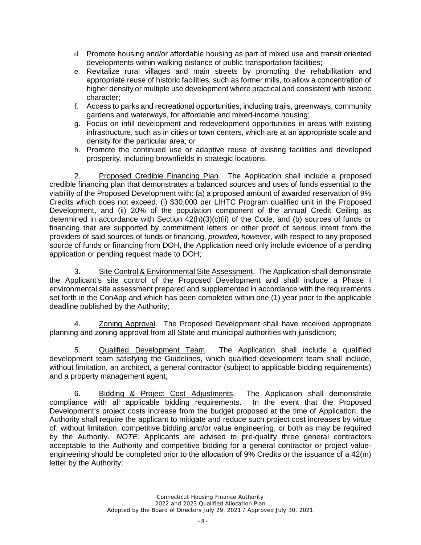- d. Promote housing and/or affordable housing as part of mixed use and transit oriented developments within walking distance of public transportation facilities;
- e. Revitalize rural villages and main streets by promoting the rehabilitation and appropriate reuse of historic facilities, such as former mills, to allow a concentration of higher density or multiple use development where practical and consistent with historic character;
- f. Access to parks and recreational opportunities, including trails, greenways, community gardens and waterways, for affordable and mixed-income housing;
- g. Focus on infill development and redevelopment opportunities in areas with existing infrastructure, such as in cities or town centers, which are at an appropriate scale and density for the particular area; or
- h. Promote the continued use or adaptive reuse of existing facilities and developed prosperity, including brownfields in strategic locations.

2. Proposed Credible Financing Plan. The Application shall include a proposed credible financing plan that demonstrates a balanced sources and uses of funds essential to the viability of the Proposed Development with: (a) a proposed amount of awarded reservation of 9% Credits which does not exceed: (i) \$30,000 per LIHTC Program qualified unit in the Proposed Development, and (ii) 20% of the population component of the annual Credit Ceiling as determined in accordance with Section 42(h)(3)(c)(ii) of the Code, and (b) sources of funds or financing that are supported by commitment letters or other proof of serious intent from the providers of said sources of funds or financing, *provided*, *however*, with respect to any proposed source of funds or financing from DOH, the Application need only include evidence of a pending application or pending request made to DOH;

3. Site Control & Environmental Site Assessment. The Application shall demonstrate the Applicant's site control of the Proposed Development and shall include a Phase I environmental site assessment prepared and supplemented in accordance with the requirements set forth in the ConApp and which has been completed within one (1) year prior to the applicable deadline published by the Authority;

4. Zoning Approval. The Proposed Development shall have received appropriate planning and zoning approval from all State and municipal authorities with jurisdiction;

5. Qualified Development Team. The Application shall include a qualified development team satisfying the Guidelines, which qualified development team shall include, without limitation, an architect, a general contractor (subject to applicable bidding requirements) and a property management agent;

6. Bidding & Project Cost Adjustments. The Application shall demonstrate compliance with all applicable bidding requirements. In the event that the Proposed Development's project costs increase from the budget proposed at the time of Application, the Authority shall require the applicant to mitigate and reduce such project cost increases by virtue of, without limitation, competitive bidding and/or value engineering, or both as may be required by the Authority. *NOTE:* Applicants are advised to pre-qualify three general contractors acceptable to the Authority and competitive bidding for a general contractor or project valueengineering should be completed prior to the allocation of 9% Credits or the issuance of a 42(m) letter by the Authority;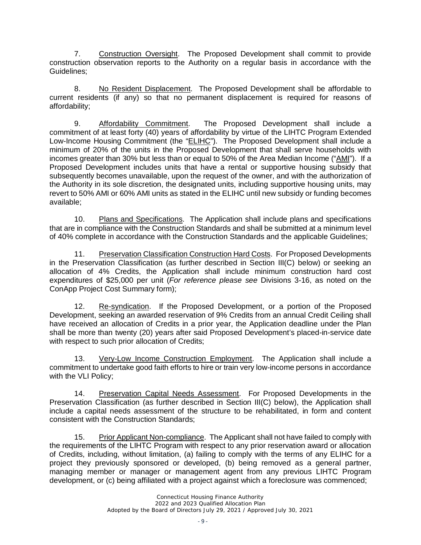7. Construction Oversight. The Proposed Development shall commit to provide construction observation reports to the Authority on a regular basis in accordance with the Guidelines;

8. No Resident Displacement. The Proposed Development shall be affordable to current residents (if any) so that no permanent displacement is required for reasons of affordability;

9. Affordability Commitment. The Proposed Development shall include a commitment of at least forty (40) years of affordability by virtue of the LIHTC Program Extended Low-Income Housing Commitment (the "ELIHC"). The Proposed Development shall include a minimum of 20% of the units in the Proposed Development that shall serve households with incomes greater than 30% but less than or equal to 50% of the Area Median Income ("AMI"). If a Proposed Development includes units that have a rental or supportive housing subsidy that subsequently becomes unavailable, upon the request of the owner, and with the authorization of the Authority in its sole discretion, the designated units, including supportive housing units, may revert to 50% AMI or 60% AMI units as stated in the ELIHC until new subsidy or funding becomes available;

10. Plans and Specifications. The Application shall include plans and specifications that are in compliance with the Construction Standards and shall be submitted at a minimum level of 40% complete in accordance with the Construction Standards and the applicable Guidelines;

11. Preservation Classification Construction Hard Costs. For Proposed Developments in the Preservation Classification (as further described in Section III(C) below) or seeking an allocation of 4% Credits, the Application shall include minimum construction hard cost expenditures of \$25,000 per unit (*For reference please see* Divisions 3-16, as noted on the ConApp Project Cost Summary form);

12. Re-syndication. If the Proposed Development, or a portion of the Proposed Development, seeking an awarded reservation of 9% Credits from an annual Credit Ceiling shall have received an allocation of Credits in a prior year, the Application deadline under the Plan shall be more than twenty (20) years after said Proposed Development's placed-in-service date with respect to such prior allocation of Credits;

13. Very-Low Income Construction Employment. The Application shall include a commitment to undertake good faith efforts to hire or train very low-income persons in accordance with the VLI Policy;

14. Preservation Capital Needs Assessment. For Proposed Developments in the Preservation Classification (as further described in Section III(C) below), the Application shall include a capital needs assessment of the structure to be rehabilitated, in form and content consistent with the Construction Standards;

15. Prior Applicant Non-compliance. The Applicant shall not have failed to comply with the requirements of the LIHTC Program with respect to any prior reservation award or allocation of Credits, including, without limitation, (a) failing to comply with the terms of any ELIHC for a project they previously sponsored or developed, (b) being removed as a general partner, managing member or manager or management agent from any previous LIHTC Program development, or (c) being affiliated with a project against which a foreclosure was commenced;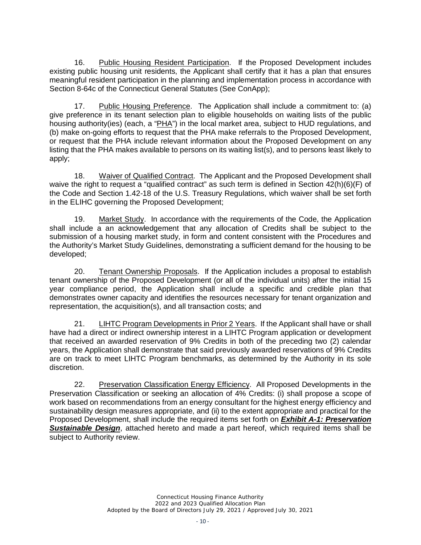16. Public Housing Resident Participation. If the Proposed Development includes existing public housing unit residents, the Applicant shall certify that it has a plan that ensures meaningful resident participation in the planning and implementation process in accordance with Section 8-64c of the Connecticut General Statutes (See ConApp);

17. Public Housing Preference. The Application shall include a commitment to: (a) give preference in its tenant selection plan to eligible households on waiting lists of the public housing authority(ies) (each, a "PHA") in the local market area, subject to HUD regulations, and (b) make on-going efforts to request that the PHA make referrals to the Proposed Development, or request that the PHA include relevant information about the Proposed Development on any listing that the PHA makes available to persons on its waiting list(s), and to persons least likely to apply;

18. Waiver of Qualified Contract. The Applicant and the Proposed Development shall waive the right to request a "qualified contract" as such term is defined in Section 42(h)(6)(F) of the Code and Section 1.42-18 of the U.S. Treasury Regulations, which waiver shall be set forth in the ELIHC governing the Proposed Development;

19. Market Study. In accordance with the requirements of the Code, the Application shall include a an acknowledgement that any allocation of Credits shall be subject to the submission of a housing market study, in form and content consistent with the Procedures and the Authority's Market Study Guidelines, demonstrating a sufficient demand for the housing to be developed;

20. Tenant Ownership Proposals. If the Application includes a proposal to establish tenant ownership of the Proposed Development (or all of the individual units) after the initial 15 year compliance period, the Application shall include a specific and credible plan that demonstrates owner capacity and identifies the resources necessary for tenant organization and representation, the acquisition(s), and all transaction costs; and

21. LIHTC Program Developments in Prior 2 Years. If the Applicant shall have or shall have had a direct or indirect ownership interest in a LIHTC Program application or development that received an awarded reservation of 9% Credits in both of the preceding two (2) calendar years, the Application shall demonstrate that said previously awarded reservations of 9% Credits are on track to meet LIHTC Program benchmarks, as determined by the Authority in its sole discretion.

22. Preservation Classification Energy Efficiency. All Proposed Developments in the Preservation Classification or seeking an allocation of 4% Credits: (i) shall propose a scope of work based on recommendations from an energy consultant for the highest energy efficiency and sustainability design measures appropriate, and (ii) to the extent appropriate and practical for the Proposed Development, shall include the required items set forth on *Exhibit A-1: Preservation Sustainable Design*, attached hereto and made a part hereof, which required items shall be subject to Authority review.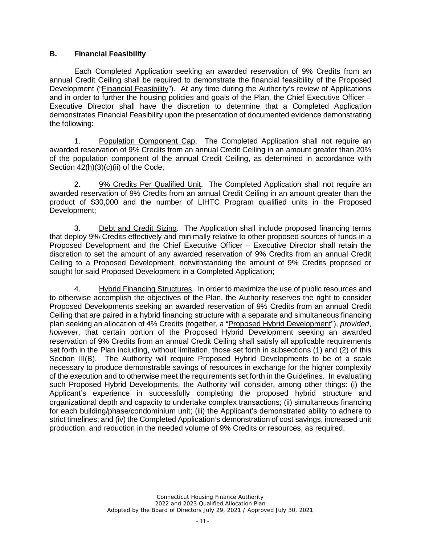#### **B. Financial Feasibility**

Each Completed Application seeking an awarded reservation of 9% Credits from an annual Credit Ceiling shall be required to demonstrate the financial feasibility of the Proposed Development ("Financial Feasibility"). At any time during the Authority's review of Applications and in order to further the housing policies and goals of the Plan, the Chief Executive Officer – Executive Director shall have the discretion to determine that a Completed Application demonstrates Financial Feasibility upon the presentation of documented evidence demonstrating the following:

1. Population Component Cap. The Completed Application shall not require an awarded reservation of 9% Credits from an annual Credit Ceiling in an amount greater than 20% of the population component of the annual Credit Ceiling, as determined in accordance with Section  $42(h)(3)(c)(ii)$  of the Code;

2. 9% Credits Per Qualified Unit. The Completed Application shall not require an awarded reservation of 9% Credits from an annual Credit Ceiling in an amount greater than the product of \$30,000 and the number of LIHTC Program qualified units in the Proposed Development;

3. Debt and Credit Sizing. The Application shall include proposed financing terms that deploy 9% Credits effectively and minimally relative to other proposed sources of funds in a Proposed Development and the Chief Executive Officer – Executive Director shall retain the discretion to set the amount of any awarded reservation of 9% Credits from an annual Credit Ceiling to a Proposed Development, notwithstanding the amount of 9% Credits proposed or sought for said Proposed Development in a Completed Application;

4. Hybrid Financing Structures. In order to maximize the use of public resources and to otherwise accomplish the objectives of the Plan, the Authority reserves the right to consider Proposed Developments seeking an awarded reservation of 9% Credits from an annual Credit Ceiling that are paired in a hybrid financing structure with a separate and simultaneous financing plan seeking an allocation of 4% Credits (together, a "Proposed Hybrid Development"), *provided*, *however*, that certain portion of the Proposed Hybrid Development seeking an awarded reservation of 9% Credits from an annual Credit Ceiling shall satisfy all applicable requirements set forth in the Plan including, without limitation, those set forth in subsections (1) and (2) of this Section III(B). The Authority will require Proposed Hybrid Developments to be of a scale necessary to produce demonstrable savings of resources in exchange for the higher complexity of the execution and to otherwise meet the requirements set forth in the Guidelines. In evaluating such Proposed Hybrid Developments, the Authority will consider, among other things: (i) the Applicant's experience in successfully completing the proposed hybrid structure and organizational depth and capacity to undertake complex transactions; (ii) simultaneous financing for each building/phase/condominium unit; (iii) the Applicant's demonstrated ability to adhere to strict timelines; and (iv) the Completed Application's demonstration of cost savings, increased unit production, and reduction in the needed volume of 9% Credits or resources, as required.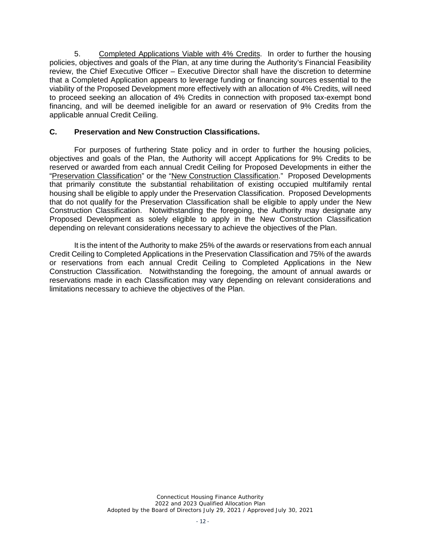5. Completed Applications Viable with 4% Credits. In order to further the housing policies, objectives and goals of the Plan, at any time during the Authority's Financial Feasibility review, the Chief Executive Officer – Executive Director shall have the discretion to determine that a Completed Application appears to leverage funding or financing sources essential to the viability of the Proposed Development more effectively with an allocation of 4% Credits, will need to proceed seeking an allocation of 4% Credits in connection with proposed tax-exempt bond financing, and will be deemed ineligible for an award or reservation of 9% Credits from the applicable annual Credit Ceiling.

### **C. Preservation and New Construction Classifications.**

For purposes of furthering State policy and in order to further the housing policies, objectives and goals of the Plan, the Authority will accept Applications for 9% Credits to be reserved or awarded from each annual Credit Ceiling for Proposed Developments in either the "Preservation Classification" or the "New Construction Classification." Proposed Developments that primarily constitute the substantial rehabilitation of existing occupied multifamily rental housing shall be eligible to apply under the Preservation Classification. Proposed Developments that do not qualify for the Preservation Classification shall be eligible to apply under the New Construction Classification. Notwithstanding the foregoing, the Authority may designate any Proposed Development as solely eligible to apply in the New Construction Classification depending on relevant considerations necessary to achieve the objectives of the Plan.

It is the intent of the Authority to make 25% of the awards or reservations from each annual Credit Ceiling to Completed Applications in the Preservation Classification and 75% of the awards or reservations from each annual Credit Ceiling to Completed Applications in the New Construction Classification. Notwithstanding the foregoing, the amount of annual awards or reservations made in each Classification may vary depending on relevant considerations and limitations necessary to achieve the objectives of the Plan.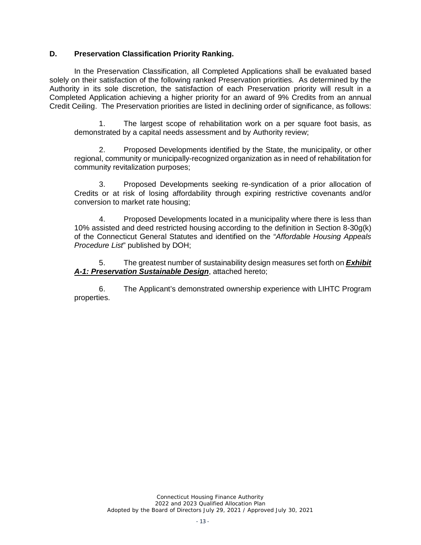#### **D. Preservation Classification Priority Ranking.**

In the Preservation Classification, all Completed Applications shall be evaluated based solely on their satisfaction of the following ranked Preservation priorities. As determined by the Authority in its sole discretion, the satisfaction of each Preservation priority will result in a Completed Application achieving a higher priority for an award of 9% Credits from an annual Credit Ceiling. The Preservation priorities are listed in declining order of significance, as follows:

1. The largest scope of rehabilitation work on a per square foot basis, as demonstrated by a capital needs assessment and by Authority review;

2. Proposed Developments identified by the State, the municipality, or other regional, community or municipally-recognized organization as in need of rehabilitation for community revitalization purposes;

3. Proposed Developments seeking re-syndication of a prior allocation of Credits or at risk of losing affordability through expiring restrictive covenants and/or conversion to market rate housing;

4. Proposed Developments located in a municipality where there is less than 10% assisted and deed restricted housing according to the definition in Section 8-30g(k) of the Connecticut General Statutes and identified on the "*Affordable Housing Appeals Procedure List*" published by DOH;

5. The greatest number of sustainability design measures set forth on *Exhibit A-1: Preservation Sustainable Design*, attached hereto;

6. The Applicant's demonstrated ownership experience with LIHTC Program properties.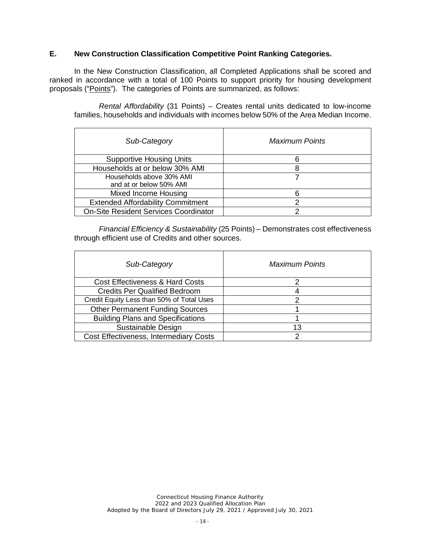### **E. New Construction Classification Competitive Point Ranking Categories.**

In the New Construction Classification, all Completed Applications shall be scored and ranked in accordance with a total of 100 Points to support priority for housing development proposals ("Points"). The categories of Points are summarized, as follows:

*Rental Affordability* (31 Points) – Creates rental units dedicated to low-income families, households and individuals with incomes below 50% of the Area Median Income.

| Sub-Category                                        | Maximum Points |
|-----------------------------------------------------|----------------|
| <b>Supportive Housing Units</b>                     | 6              |
| Households at or below 30% AMI                      | 8              |
| Households above 30% AMI<br>and at or below 50% AMI |                |
| Mixed Income Housing                                | 6              |
| <b>Extended Affordability Commitment</b>            | 2              |
| <b>On-Site Resident Services Coordinator</b>        | っ              |

*Financial Efficiency & Sustainability* (25 Points) – Demonstrates cost effectiveness through efficient use of Credits and other sources.

| Sub-Category                                  | <b>Maximum Points</b> |
|-----------------------------------------------|-----------------------|
| <b>Cost Effectiveness &amp; Hard Costs</b>    |                       |
| <b>Credits Per Qualified Bedroom</b>          |                       |
| Credit Equity Less than 50% of Total Uses     | ヮ                     |
| <b>Other Permanent Funding Sources</b>        |                       |
| <b>Building Plans and Specifications</b>      |                       |
| Sustainable Design                            | 13                    |
| <b>Cost Effectiveness, Intermediary Costs</b> | っ                     |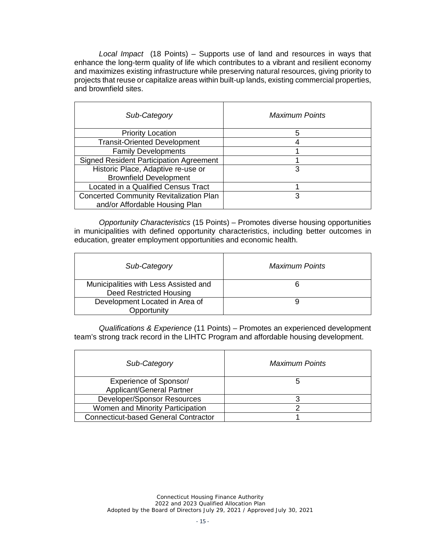*Local Impact* (18 Points) – Supports use of land and resources in ways that enhance the long-term quality of life which contributes to a vibrant and resilient economy and maximizes existing infrastructure while preserving natural resources, giving priority to projects that reuse or capitalize areas within built-up lands, existing commercial properties, and brownfield sites.

| Sub-Category                                                                     | <b>Maximum Points</b> |
|----------------------------------------------------------------------------------|-----------------------|
| <b>Priority Location</b>                                                         | 5                     |
| <b>Transit-Oriented Development</b>                                              |                       |
| <b>Family Developments</b>                                                       |                       |
| <b>Signed Resident Participation Agreement</b>                                   |                       |
| Historic Place, Adaptive re-use or                                               | 3                     |
| <b>Brownfield Development</b>                                                    |                       |
| Located in a Qualified Census Tract                                              |                       |
| <b>Concerted Community Revitalization Plan</b><br>and/or Affordable Housing Plan | 3                     |

*Opportunity Characteristics* (15 Points) – Promotes diverse housing opportunities in municipalities with defined opportunity characteristics, including better outcomes in education, greater employment opportunities and economic health.

| Sub-Category                                                     | <b>Maximum Points</b> |
|------------------------------------------------------------------|-----------------------|
| Municipalities with Less Assisted and<br>Deed Restricted Housing |                       |
| Development Located in Area of<br>Opportunity                    |                       |

*Qualifications & Experience* (11 Points) – Promotes an experienced development team's strong track record in the LIHTC Program and affordable housing development.

| Sub-Category                                | <b>Maximum Points</b> |
|---------------------------------------------|-----------------------|
| Experience of Sponsor/                      |                       |
| Applicant/General Partner                   |                       |
| Developer/Sponsor Resources                 |                       |
| Women and Minority Participation            |                       |
| <b>Connecticut-based General Contractor</b> |                       |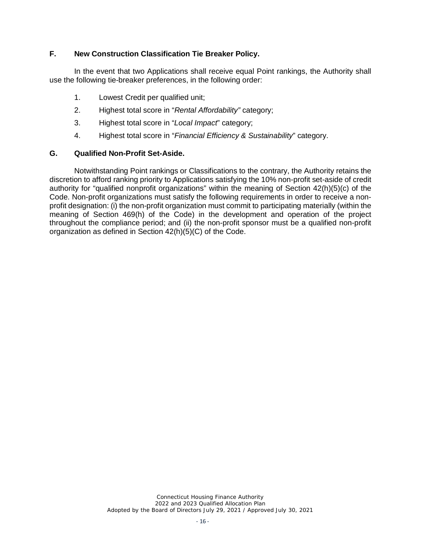### **F. New Construction Classification Tie Breaker Policy.**

In the event that two Applications shall receive equal Point rankings, the Authority shall use the following tie-breaker preferences, in the following order:

- 1. Lowest Credit per qualified unit;
- 2. Highest total score in "*Rental Affordability"* category;
- 3. Highest total score in "*Local Impact*" category;
- 4. Highest total score in "*Financial Efficiency & Sustainability*" category.

#### **G. Qualified Non-Profit Set-Aside.**

Notwithstanding Point rankings or Classifications to the contrary, the Authority retains the discretion to afford ranking priority to Applications satisfying the 10% non-profit set-aside of credit authority for "qualified nonprofit organizations" within the meaning of Section 42(h)(5)(c) of the Code. Non-profit organizations must satisfy the following requirements in order to receive a nonprofit designation: (i) the non-profit organization must commit to participating materially (within the meaning of Section 469(h) of the Code) in the development and operation of the project throughout the compliance period; and (ii) the non-profit sponsor must be a qualified non-profit organization as defined in Section 42(h)(5)(C) of the Code.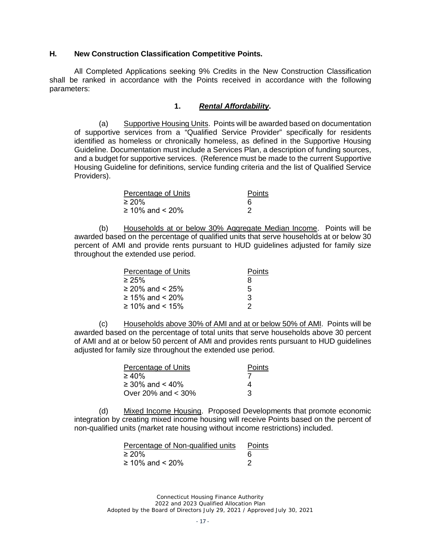#### **H. New Construction Classification Competitive Points.**

All Completed Applications seeking 9% Credits in the New Construction Classification shall be ranked in accordance with the Points received in accordance with the following parameters:

#### **1.** *Rental Affordability***.**

(a) Supportive Housing Units. Points will be awarded based on documentation of supportive services from a "Qualified Service Provider" specifically for residents identified as homeless or chronically homeless, as defined in the Supportive Housing Guideline. Documentation must include a Services Plan, a description of funding sources, and a budget for supportive services. (Reference must be made to the current Supportive Housing Guideline for definitions, service funding criteria and the list of Qualified Service Providers).

| Percentage of Units | Points |
|---------------------|--------|
| ≥ 20%               |        |
| ≥ 10% and < 20%     |        |

(b) Households at or below 30% Aggregate Median Income. Points will be awarded based on the percentage of qualified units that serve households at or below 30 percent of AMI and provide rents pursuant to HUD guidelines adjusted for family size throughout the extended use period.

| Percentage of Units  | Points |
|----------------------|--------|
| $\geq 25\%$          | 8      |
| $\geq$ 20% and < 25% | 5      |
| ≥ 15% and < 20%      | З      |
| ≥ 10% and < 15%      | 2      |

(c) Households above 30% of AMI and at or below 50% of AMI. Points will be awarded based on the percentage of total units that serve households above 30 percent of AMI and at or below 50 percent of AMI and provides rents pursuant to HUD guidelines adjusted for family size throughout the extended use period.

| Percentage of Units  | <b>Points</b> |
|----------------------|---------------|
| $\geq 40\%$          |               |
| ≥ 30% and < 40%      | Δ             |
| Over 20% and $<$ 30% | З             |

(d) Mixed Income Housing. Proposed Developments that promote economic integration by creating mixed income housing will receive Points based on the percent of non-qualified units (market rate housing without income restrictions) included.

| Percentage of Non-qualified units | Points |
|-----------------------------------|--------|
| $\geq 20\%$                       |        |
| ≥ 10% and < 20%                   |        |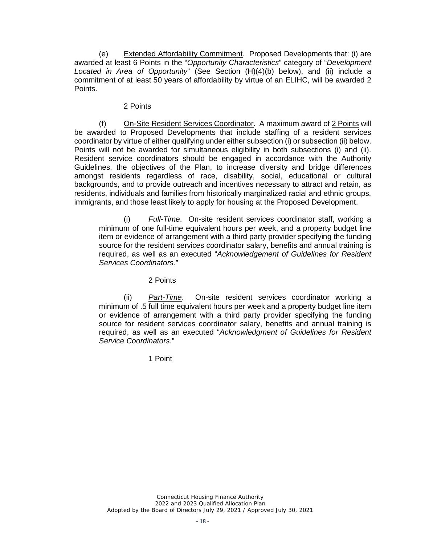(e) Extended Affordability Commitment. Proposed Developments that: (i) are awarded at least 6 Points in the "*Opportunity Characteristics*" category of "*Development Located in Area of Opportunity*" (See Section (H)(4)(b) below), and (ii) include a commitment of at least 50 years of affordability by virtue of an ELIHC, will be awarded 2 Points.

#### 2 Points

(f) On-Site Resident Services Coordinator. A maximum award of 2 Points will be awarded to Proposed Developments that include staffing of a resident services coordinator by virtue of either qualifying under either subsection (i) or subsection (ii) below. Points will not be awarded for simultaneous eligibility in both subsections (i) and (ii). Resident service coordinators should be engaged in accordance with the Authority Guidelines, the objectives of the Plan, to increase diversity and bridge differences amongst residents regardless of race, disability, social, educational or cultural backgrounds, and to provide outreach and incentives necessary to attract and retain, as residents, individuals and families from historically marginalized racial and ethnic groups, immigrants, and those least likely to apply for housing at the Proposed Development.

(i) *Full-Time*. On-site resident services coordinator staff, working a minimum of one full-time equivalent hours per week, and a property budget line item or evidence of arrangement with a third party provider specifying the funding source for the resident services coordinator salary, benefits and annual training is required, as well as an executed "*Acknowledgement of Guidelines for Resident Services Coordinators.*"

2 Points

(ii) *Part-Time*. On-site resident services coordinator working a minimum of .5 full time equivalent hours per week and a property budget line item or evidence of arrangement with a third party provider specifying the funding source for resident services coordinator salary, benefits and annual training is required, as well as an executed "*Acknowledgment of Guidelines for Resident Service Coordinators*."

1 Point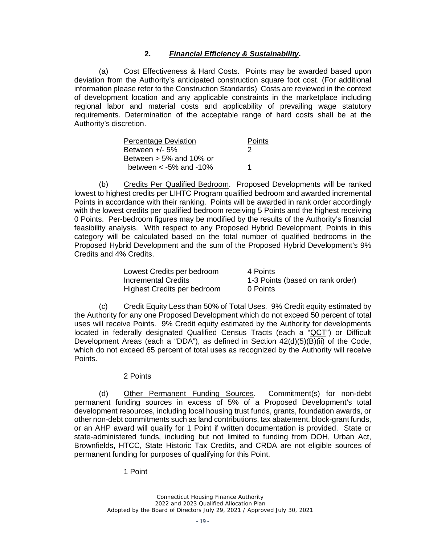## **2.** *Financial Efficiency & Sustainability***.**

(a) Cost Effectiveness & Hard Costs. Points may be awarded based upon deviation from the Authority's anticipated construction square foot cost. (For additional information please refer to the Construction Standards) Costs are reviewed in the context of development location and any applicable constraints in the marketplace including regional labor and material costs and applicability of prevailing wage statutory requirements. Determination of the acceptable range of hard costs shall be at the Authority's discretion.

| <b>Percentage Deviation</b> | <b>Points</b> |
|-----------------------------|---------------|
| Between $+/-5%$             | 2             |
| Between $> 5\%$ and 10% or  |               |
| between $<$ -5% and -10%    |               |

(b) Credits Per Qualified Bedroom. Proposed Developments will be ranked lowest to highest credits per LIHTC Program qualified bedroom and awarded incremental Points in accordance with their ranking. Points will be awarded in rank order accordingly with the lowest credits per qualified bedroom receiving 5 Points and the highest receiving 0 Points. Per-bedroom figures may be modified by the results of the Authority's financial feasibility analysis. With respect to any Proposed Hybrid Development, Points in this category will be calculated based on the total number of qualified bedrooms in the Proposed Hybrid Development and the sum of the Proposed Hybrid Development's 9% Credits and 4% Credits.

| Lowest Credits per bedroom  | 4 Points                         |
|-----------------------------|----------------------------------|
| Incremental Credits         | 1-3 Points (based on rank order) |
| Highest Credits per bedroom | 0 Points                         |

(c) Credit Equity Less than 50% of Total Uses. 9% Credit equity estimated by the Authority for any one Proposed Development which do not exceed 50 percent of total uses will receive Points. 9% Credit equity estimated by the Authority for developments located in federally designated Qualified Census Tracts (each a "QCT") or Difficult Development Areas (each a "DDA"), as defined in Section  $42(d)(5)(B)(ii)$  of the Code, which do not exceed 65 percent of total uses as recognized by the Authority will receive Points.

#### 2 Points

(d) Other Permanent Funding Sources. Commitment(s) for non-debt permanent funding sources in excess of 5% of a Proposed Development's total development resources, including local housing trust funds, grants, foundation awards, or other non-debt commitments such as land contributions, tax abatement, block-grant funds, or an AHP award will qualify for 1 Point if written documentation is provided. State or state-administered funds, including but not limited to funding from DOH, Urban Act, Brownfields, HTCC, State Historic Tax Credits, and CRDA are not eligible sources of permanent funding for purposes of qualifying for this Point.

1 Point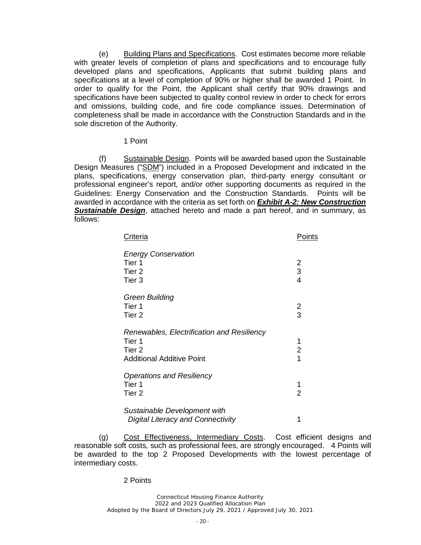(e) Building Plans and Specifications. Cost estimates become more reliable with greater levels of completion of plans and specifications and to encourage fully developed plans and specifications, Applicants that submit building plans and specifications at a level of completion of 90% or higher shall be awarded 1 Point. In order to qualify for the Point, the Applicant shall certify that 90% drawings and specifications have been subjected to quality control review in order to check for errors and omissions, building code, and fire code compliance issues. Determination of completeness shall be made in accordance with the Construction Standards and in the sole discretion of the Authority.

#### 1 Point

(f) Sustainable Design. Points will be awarded based upon the Sustainable Design Measures ("SDM") included in a Proposed Development and indicated in the plans, specifications, energy conservation plan, third-party energy consultant or professional engineer's report, and/or other supporting documents as required in the Guidelines: Energy Conservation and the Construction Standards. Points will be awarded in accordance with the criteria as set forth on *Exhibit A-2: New Construction*  **Sustainable Design**, attached hereto and made a part hereof, and in summary, as follows:

| Criteria                                                                                           | Points                            |
|----------------------------------------------------------------------------------------------------|-----------------------------------|
| <b>Energy Conservation</b><br>Tier 1<br>Tier 2<br>Tier <sub>3</sub>                                | 2<br>3<br>$\overline{\mathbf{4}}$ |
| Green Building<br>Tier 1<br>Tier <sub>2</sub>                                                      | $\frac{2}{3}$                     |
| Renewables, Electrification and Resiliency<br>Tier 1<br>Tier 2<br><b>Additional Additive Point</b> | 1<br>$\overline{2}$<br>1          |
| <b>Operations and Resiliency</b><br>Tier 1<br>Tier <sub>2</sub>                                    | 1<br>$\overline{2}$               |
| Sustainable Development with<br><b>Digital Literacy and Connectivity</b>                           | 1                                 |

(g) Cost Effectiveness, Intermediary Costs. Cost efficient designs and reasonable soft costs, such as professional fees, are strongly encouraged. 4 Points will be awarded to the top 2 Proposed Developments with the lowest percentage of intermediary costs.

#### 2 Points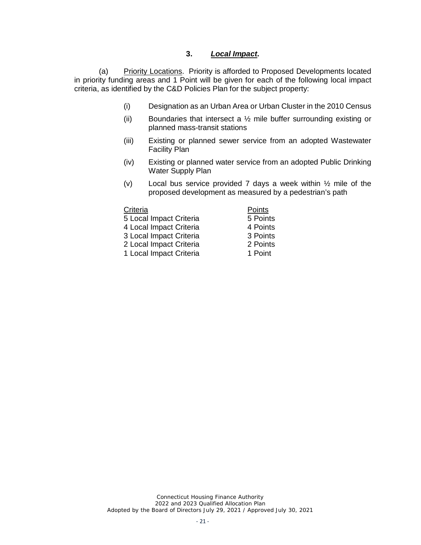#### **3.** *Local Impact***.**

(a) Priority Locations. Priority is afforded to Proposed Developments located in priority funding areas and 1 Point will be given for each of the following local impact criteria, as identified by the C&D Policies Plan for the subject property:

- (i) Designation as an Urban Area or Urban Cluster in the 2010 Census
- (ii) Boundaries that intersect a  $\frac{1}{2}$  mile buffer surrounding existing or planned mass-transit stations
- (iii) Existing or planned sewer service from an adopted Wastewater Facility Plan
- (iv) Existing or planned water service from an adopted Public Drinking Water Supply Plan
- (v) Local bus service provided 7 days a week within ½ mile of the proposed development as measured by a pedestrian's path

| Criteria                | Points   |
|-------------------------|----------|
| 5 Local Impact Criteria | 5 Points |
| 4 Local Impact Criteria | 4 Points |
| 3 Local Impact Criteria | 3 Points |
| 2 Local Impact Criteria | 2 Points |
| 1 Local Impact Criteria | 1 Point  |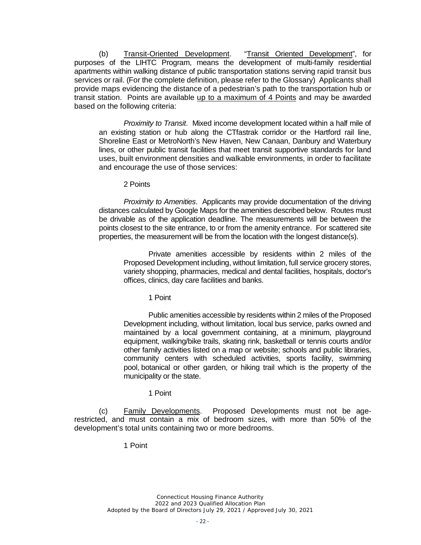(b) Transit-Oriented Development. "Transit Oriented Development", for purposes of the LIHTC Program, means the development of multi-family residential apartments within walking distance of public transportation stations serving rapid transit bus services or rail. (For the complete definition, please refer to the Glossary) Applicants shall provide maps evidencing the distance of a pedestrian's path to the transportation hub or transit station. Points are available up to a maximum of 4 Points and may be awarded based on the following criteria:

*Proximity to Transit*. Mixed income development located within a half mile of an existing station or hub along the CTfastrak corridor or the Hartford rail line, Shoreline East or MetroNorth's New Haven, New Canaan, Danbury and Waterbury lines, or other public transit facilities that meet transit supportive standards for land uses, built environment densities and walkable environments, in order to facilitate and encourage the use of those services:

#### 2 Points

*Proximity to Amenities*. Applicants may provide documentation of the driving distances calculated by Google Maps for the amenities described below. Routes must be drivable as of the application deadline. The measurements will be between the points closest to the site entrance, to or from the amenity entrance. For scattered site properties, the measurement will be from the location with the longest distance(s).

Private amenities accessible by residents within 2 miles of the Proposed Development including, without limitation, full service grocery stores, variety shopping, pharmacies, medical and dental facilities, hospitals, doctor's offices, clinics, day care facilities and banks.

1 Point

Public amenities accessible by residents within 2 miles of the Proposed Development including, without limitation, local bus service, parks owned and maintained by a local government containing, at a minimum, playground equipment, walking/bike trails, skating rink, basketball or tennis courts and/or other family activities listed on a map or website; schools and public libraries, community centers with scheduled activities, sports facility, swimming pool, botanical or other garden, or hiking trail which is the property of the municipality or the state.

#### 1 Point

(c) Family Developments. Proposed Developments must not be agerestricted, and must contain a mix of bedroom sizes, with more than 50% of the development's total units containing two or more bedrooms.

#### 1 Point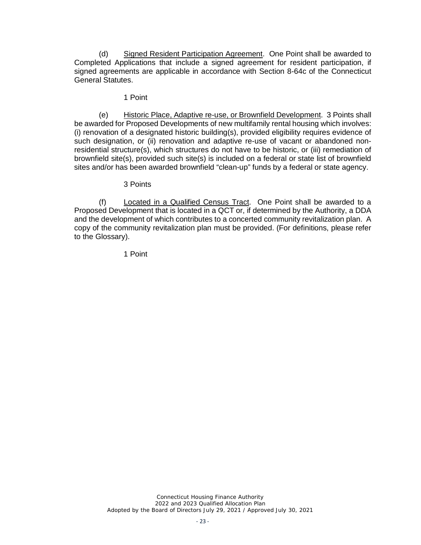(d) Signed Resident Participation Agreement. One Point shall be awarded to Completed Applications that include a signed agreement for resident participation, if signed agreements are applicable in accordance with Section 8-64c of the Connecticut General Statutes.

#### 1 Point

(e) Historic Place, Adaptive re-use, or Brownfield Development. 3 Points shall be awarded for Proposed Developments of new multifamily rental housing which involves: (i) renovation of a designated historic building(s), provided eligibility requires evidence of such designation, or (ii) renovation and adaptive re-use of vacant or abandoned nonresidential structure(s), which structures do not have to be historic, or (iii) remediation of brownfield site(s), provided such site(s) is included on a federal or state list of brownfield sites and/or has been awarded brownfield "clean-up" funds by a federal or state agency.

#### 3 Points

(f) Located in a Qualified Census Tract. One Point shall be awarded to a Proposed Development that is located in a QCT or, if determined by the Authority, a DDA and the development of which contributes to a concerted community revitalization plan. A copy of the community revitalization plan must be provided. (For definitions, please refer to the Glossary).

1 Point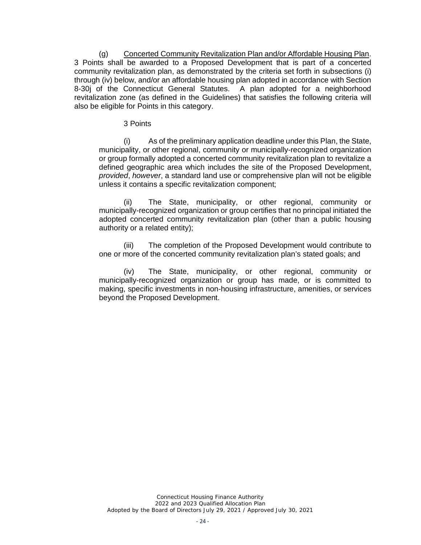(g) Concerted Community Revitalization Plan and/or Affordable Housing Plan. 3 Points shall be awarded to a Proposed Development that is part of a concerted community revitalization plan, as demonstrated by the criteria set forth in subsections (i) through (iv) below, and/or an affordable housing plan adopted in accordance with Section 8-30i of the Connecticut General Statutes. A plan adopted for a neighborhood revitalization zone (as defined in the Guidelines) that satisfies the following criteria will also be eligible for Points in this category.

3 Points

(i) As of the preliminary application deadline under this Plan, the State, municipality, or other regional, community or municipally-recognized organization or group formally adopted a concerted community revitalization plan to revitalize a defined geographic area which includes the site of the Proposed Development, *provided*, *however*, a standard land use or comprehensive plan will not be eligible unless it contains a specific revitalization component;

(ii) The State, municipality, or other regional, community or municipally-recognized organization or group certifies that no principal initiated the adopted concerted community revitalization plan (other than a public housing authority or a related entity);

(iii) The completion of the Proposed Development would contribute to one or more of the concerted community revitalization plan's stated goals; and

(iv) The State, municipality, or other regional, community or municipally-recognized organization or group has made, or is committed to making, specific investments in non-housing infrastructure, amenities, or services beyond the Proposed Development.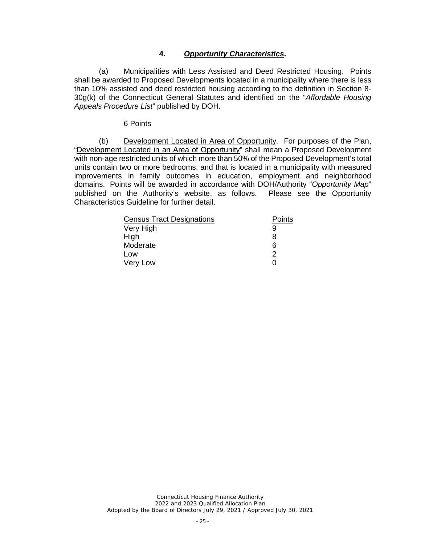#### **4.** *Opportunity Characteristics***.**

(a) Municipalities with Less Assisted and Deed Restricted Housing. Points shall be awarded to Proposed Developments located in a municipality where there is less than 10% assisted and deed restricted housing according to the definition in Section 8- 30g(k) of the Connecticut General Statutes and identified on the "*Affordable Housing Appeals Procedure List*" published by DOH.

#### 6 Points

(b) Development Located in Area of Opportunity. For purposes of the Plan, "Development Located in an Area of Opportunity" shall mean a Proposed Development with non-age restricted units of which more than 50% of the Proposed Development's total units contain two or more bedrooms, and that is located in a municipality with measured improvements in family outcomes in education, employment and neighborhood domains. Points will be awarded in accordance with DOH/Authority "*Opportunity Map*" published on the Authority's website, as follows. Please see the Opportunity Characteristics Guideline for further detail.

| <b>Census Tract Designations</b> | Points |
|----------------------------------|--------|
| Very High                        |        |
| High                             | 8      |
| Moderate                         | 6      |
| Low                              | 2      |
| Very Low                         |        |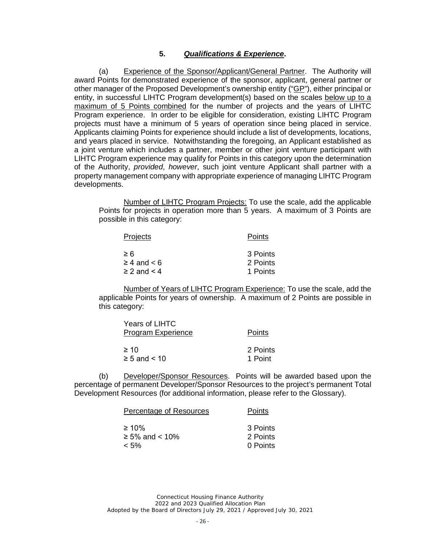#### **5.** *Qualifications & Experience***.**

(a) Experience of the Sponsor/Applicant/General Partner. The Authority will award Points for demonstrated experience of the sponsor, applicant, general partner or other manager of the Proposed Development's ownership entity ("GP"), either principal or entity, in successful LIHTC Program development(s) based on the scales below up to a maximum of 5 Points combined for the number of projects and the years of LIHTC Program experience. In order to be eligible for consideration, existing LIHTC Program projects must have a minimum of 5 years of operation since being placed in service. Applicants claiming Points for experience should include a list of developments, locations, and years placed in service. Notwithstanding the foregoing, an Applicant established as a joint venture which includes a partner, member or other joint venture participant with LIHTC Program experience may qualify for Points in this category upon the determination of the Authority, *provided*, *however*, such joint venture Applicant shall partner with a property management company with appropriate experience of managing LIHTC Program developments.

Number of LIHTC Program Projects: To use the scale, add the applicable Points for projects in operation more than 5 years. A maximum of 3 Points are possible in this category:

| Projects              | Points   |
|-----------------------|----------|
| $\geq 6$              | 3 Points |
| $\geq 4$ and $\lt 6$  | 2 Points |
| $\geq$ 2 and $\leq$ 4 | 1 Points |

Number of Years of LIHTC Program Experience: To use the scale, add the applicable Points for years of ownership. A maximum of 2 Points are possible in this category:

| Years of LIHTC<br><b>Program Experience</b> | Points   |
|---------------------------------------------|----------|
| $\geq 10$                                   | 2 Points |
| $\geq 5$ and $\leq 10$                      | 1 Point  |

(b) Developer/Sponsor Resources. Points will be awarded based upon the percentage of permanent Developer/Sponsor Resources to the project's permanent Total Development Resources (for additional information, please refer to the Glossary).

| Percentage of Resources | Points   |
|-------------------------|----------|
| $\geq 10\%$             | 3 Points |
| $≥ 5%$ and < 10%        | 2 Points |
| $< 5\%$                 | 0 Points |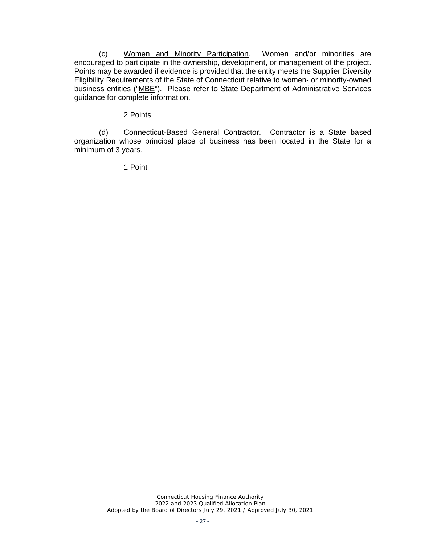(c) Women and Minority Participation. Women and/or minorities are encouraged to participate in the ownership, development, or management of the project. Points may be awarded if evidence is provided that the entity meets the Supplier Diversity Eligibility Requirements of the State of Connecticut relative to women- or minority-owned business entities ("MBE"). Please refer to State Department of Administrative Services guidance for complete information.

#### 2 Points

(d) Connecticut-Based General Contractor. Contractor is a State based organization whose principal place of business has been located in the State for a minimum of 3 years.

1 Point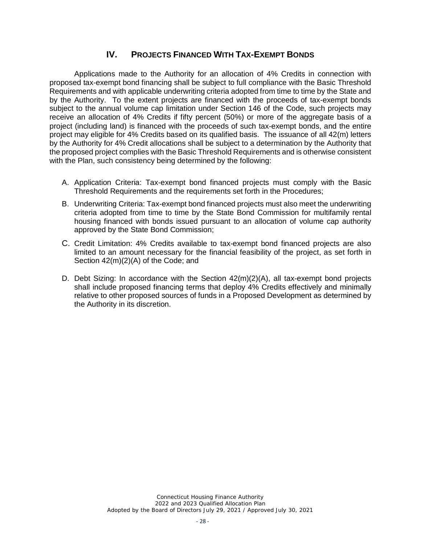# **IV. PROJECTS FINANCED WITH TAX-EXEMPT BONDS**

Applications made to the Authority for an allocation of 4% Credits in connection with proposed tax-exempt bond financing shall be subject to full compliance with the Basic Threshold Requirements and with applicable underwriting criteria adopted from time to time by the State and by the Authority. To the extent projects are financed with the proceeds of tax-exempt bonds subject to the annual volume cap limitation under Section 146 of the Code, such projects may receive an allocation of 4% Credits if fifty percent (50%) or more of the aggregate basis of a project (including land) is financed with the proceeds of such tax-exempt bonds, and the entire project may eligible for 4% Credits based on its qualified basis. The issuance of all 42(m) letters by the Authority for 4% Credit allocations shall be subject to a determination by the Authority that the proposed project complies with the Basic Threshold Requirements and is otherwise consistent with the Plan, such consistency being determined by the following:

- A. Application Criteria: Tax-exempt bond financed projects must comply with the Basic Threshold Requirements and the requirements set forth in the Procedures;
- B. Underwriting Criteria: Tax-exempt bond financed projects must also meet the underwriting criteria adopted from time to time by the State Bond Commission for multifamily rental housing financed with bonds issued pursuant to an allocation of volume cap authority approved by the State Bond Commission;
- C. Credit Limitation: 4% Credits available to tax-exempt bond financed projects are also limited to an amount necessary for the financial feasibility of the project, as set forth in Section 42(m)(2)(A) of the Code; and
- D. Debt Sizing: In accordance with the Section 42(m)(2)(A), all tax-exempt bond projects shall include proposed financing terms that deploy 4% Credits effectively and minimally relative to other proposed sources of funds in a Proposed Development as determined by the Authority in its discretion.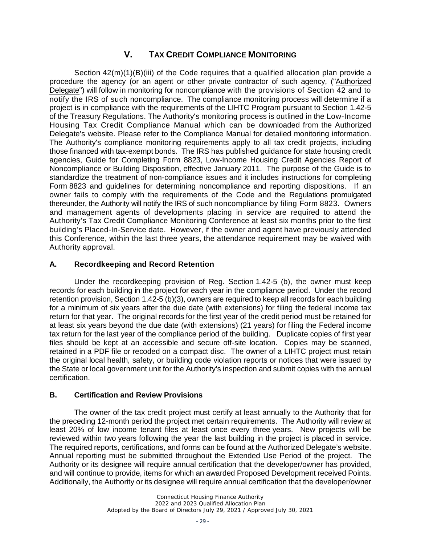# **V. TAX CREDIT COMPLIANCE MONITORING**

Section 42(m)(1)(B)(iii) of the Code requires that a qualified allocation plan provide a procedure the agency (or an agent or other private contractor of such agency, ("Authorized Delegate") will follow in monitoring for noncompliance with the provisions of Section 42 and to notify the IRS of such noncompliance. The compliance monitoring process will determine if a project is in compliance with the requirements of the LIHTC Program pursuant to Section 1.42-5 of the Treasury Regulations. The Authority's monitoring process is outlined in the Low-Income Housing Tax Credit Compliance Manual which can be downloaded from the Authorized Delegate's website. Please refer to the Compliance Manual for detailed monitoring information. The Authority's compliance monitoring requirements apply to all tax credit projects, including those financed with tax-exempt bonds. The IRS has published guidance for state housing credit agencies, Guide for Completing Form 8823, Low-Income Housing Credit Agencies Report of Noncompliance or Building Disposition, effective January 2011. The purpose of the Guide is to standardize the treatment of non-compliance issues and it includes instructions for completing Form 8823 and guidelines for determining noncompliance and reporting dispositions. If an owner fails to comply with the requirements of the Code and the Regulations promulgated thereunder, the Authority will notify the IRS of such noncompliance by filing Form 8823. Owners and management agents of developments placing in service are required to attend the Authority's Tax Credit Compliance Monitoring Conference at least six months prior to the first building's Placed-In-Service date. However, if the owner and agent have previously attended this Conference, within the last three years, the attendance requirement may be waived with Authority approval.

## **A. Recordkeeping and Record Retention**

Under the recordkeeping provision of Reg. Section 1.42-5 (b), the owner must keep records for each building in the project for each year in the compliance period. Under the record retention provision, Section 1.42-5 (b)(3), owners are required to keep all records for each building for a minimum of six years after the due date (with extensions) for filing the federal income tax return for that year. The original records for the first year of the credit period must be retained for at least six years beyond the due date (with extensions) (21 years) for filing the Federal income tax return for the last year of the compliance period of the building. Duplicate copies of first year files should be kept at an accessible and secure off-site location. Copies may be scanned, retained in a PDF file or recoded on a compact disc. The owner of a LIHTC project must retain the original local health, safety, or building code violation reports or notices that were issued by the State or local government unit for the Authority's inspection and submit copies with the annual certification.

#### **B. Certification and Review Provisions**

The owner of the tax credit project must certify at least annually to the Authority that for the preceding 12-month period the project met certain requirements. The Authority will review at least 20% of low income tenant files at least once every three years. New projects will be reviewed within two years following the year the last building in the project is placed in service. The required reports, certifications, and forms can be found at the Authorized Delegate's website. Annual reporting must be submitted throughout the Extended Use Period of the project. The Authority or its designee will require annual certification that the developer/owner has provided, and will continue to provide, items for which an awarded Proposed Development received Points. Additionally, the Authority or its designee will require annual certification that the developer/owner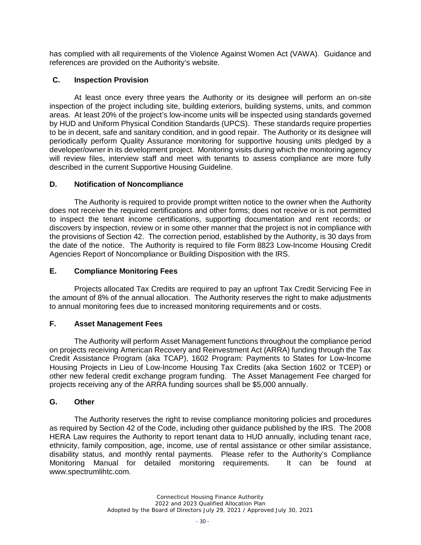has complied with all requirements of the Violence Against Women Act (VAWA). Guidance and references are provided on the Authority's website.

## **C. Inspection Provision**

At least once every three years the Authority or its designee will perform an on-site inspection of the project including site, building exteriors, building systems, units, and common areas. At least 20% of the project's low-income units will be inspected using standards governed by HUD and Uniform Physical Condition Standards (UPCS). These standards require properties to be in decent, safe and sanitary condition, and in good repair. The Authority or its designee will periodically perform Quality Assurance monitoring for supportive housing units pledged by a developer/owner in its development project. Monitoring visits during which the monitoring agency will review files, interview staff and meet with tenants to assess compliance are more fully described in the current Supportive Housing Guideline.

#### **D. Notification of Noncompliance**

The Authority is required to provide prompt written notice to the owner when the Authority does not receive the required certifications and other forms; does not receive or is not permitted to inspect the tenant income certifications, supporting documentation and rent records; or discovers by inspection, review or in some other manner that the project is not in compliance with the provisions of Section 42. The correction period, established by the Authority, is 30 days from the date of the notice. The Authority is required to file Form 8823 Low-Income Housing Credit Agencies Report of Noncompliance or Building Disposition with the IRS.

## **E. Compliance Monitoring Fees**

Projects allocated Tax Credits are required to pay an upfront Tax Credit Servicing Fee in the amount of 8% of the annual allocation. The Authority reserves the right to make adjustments to annual monitoring fees due to increased monitoring requirements and or costs.

### **F. Asset Management Fees**

The Authority will perform Asset Management functions throughout the compliance period on projects receiving American Recovery and Reinvestment Act (ARRA) funding through the Tax Credit Assistance Program (aka TCAP), 1602 Program: Payments to States for Low-Income Housing Projects in Lieu of Low-Income Housing Tax Credits (aka Section 1602 or TCEP) or other new federal credit exchange program funding. The Asset Management Fee charged for projects receiving any of the ARRA funding sources shall be \$5,000 annually.

## **G. Other**

The Authority reserves the right to revise compliance monitoring policies and procedures as required by Section 42 of the Code, including other guidance published by the IRS. The 2008 HERA Law requires the Authority to report tenant data to HUD annually, including tenant race, ethnicity, family composition, age, income, use of rental assistance or other similar assistance, disability status, and monthly rental payments. Please refer to the Authority's Compliance Monitoring Manual for detailed monitoring requirements. It can be found at www.spectrumlihtc.com.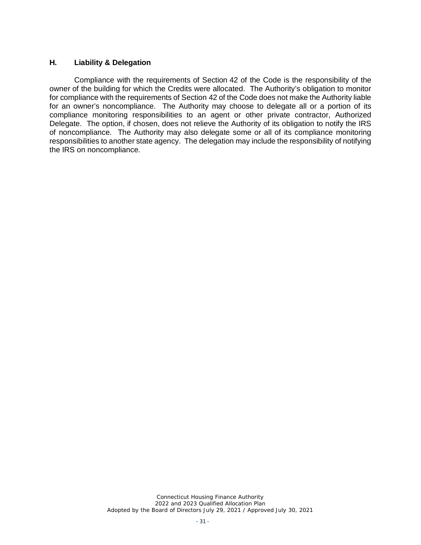#### **H. Liability & Delegation**

Compliance with the requirements of Section 42 of the Code is the responsibility of the owner of the building for which the Credits were allocated. The Authority's obligation to monitor for compliance with the requirements of Section 42 of the Code does not make the Authority liable for an owner's noncompliance. The Authority may choose to delegate all or a portion of its compliance monitoring responsibilities to an agent or other private contractor, Authorized Delegate. The option, if chosen, does not relieve the Authority of its obligation to notify the IRS of noncompliance. The Authority may also delegate some or all of its compliance monitoring responsibilities to another state agency. The delegation may include the responsibility of notifying the IRS on noncompliance.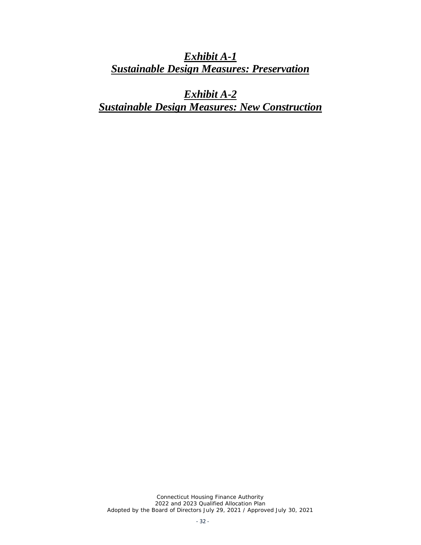*Exhibit A-1 Sustainable Design Measures: Preservation*

*Exhibit A-2 Sustainable Design Measures: New Construction*

*Connecticut Housing Finance Authority 2022 and 2023 Qualified Allocation Plan Adopted by the Board of Directors July 29, 2021 / Approved July 30, 2021*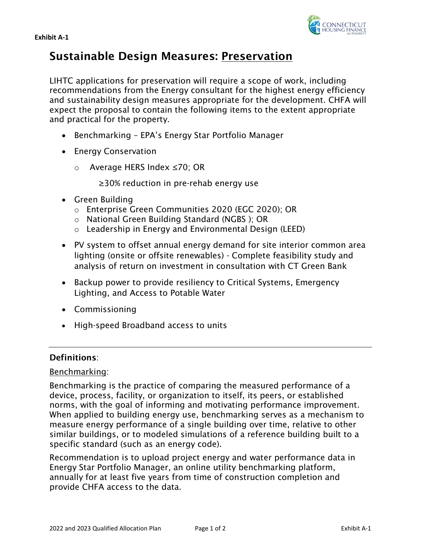



# Sustainable Design Measures: Preservation

LIHTC applications for preservation will require a scope of work, including recommendations from the Energy consultant for the highest energy efficiency and sustainability design measures appropriate for the development. CHFA will expect the proposal to contain the following items to the extent appropriate and practical for the property.

- Benchmarking EPA's Energy Star Portfolio Manager
- Energy Conservation
	- o Average HERS Index ≤70; OR

≥30% reduction in pre-rehab energy use

- Green Building
	- o Enterprise Green Communities 2020 (EGC 2020); OR
	- o National Green Building Standard (NGBS ); OR
	- o Leadership in Energy and Environmental Design (LEED)
- PV system to offset annual energy demand for site interior common area lighting (onsite or offsite renewables) - Complete feasibility study and analysis of return on investment in consultation with CT Green Bank
- Backup power to provide resiliency to Critical Systems, Emergency Lighting, and Access to Potable Water
- Commissioning
- High-speed Broadband access to units

# Definitions:

# Benchmarking:

Benchmarking is the practice of comparing the measured performance of a device, process, facility, or organization to itself, its peers, or established norms, with the goal of informing and motivating performance improvement. When applied to building energy use, benchmarking serves as a mechanism to measure energy performance of a single building over time, relative to other similar buildings, or to modeled simulations of a reference building built to a specific standard (such as an energy code).

Recommendation is to upload project energy and water performance data in Energy Star Portfolio Manager, an online utility benchmarking platform, annually for at least five years from time of construction completion and provide CHFA access to the data.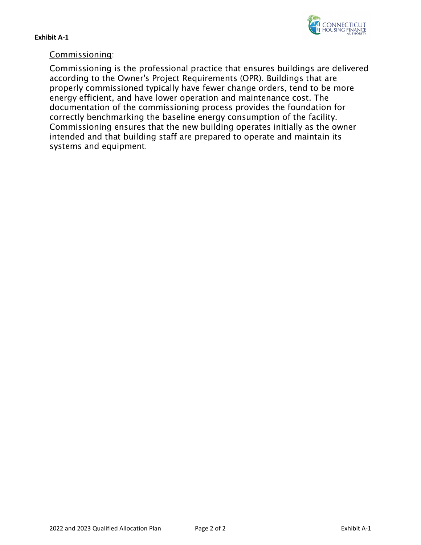

# Commissioning:

Commissioning is the professional practice that ensures buildings are delivered according to the Owner's Project Requirements (OPR). Buildings that are properly commissioned typically have fewer change orders, tend to be more energy efficient, and have lower operation and maintenance cost. The documentation of the commissioning process provides the foundation for correctly benchmarking the baseline energy consumption of the facility. Commissioning ensures that the new building operates initially as the owner intended and that building staff are prepared to operate and maintain its systems and equipment.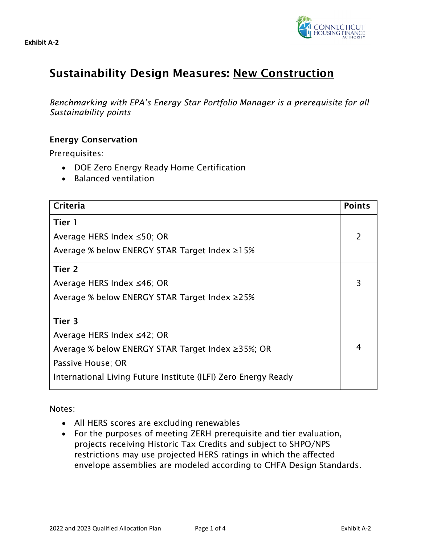



# Sustainability Design Measures: New Construction

*Benchmarking with EPA's Energy Star Portfolio Manager is a prerequisite for all Sustainability points*

# Energy Conservation

Prerequisites:

- DOE Zero Energy Ready Home Certification
- Balanced ventilation

| Criteria                                                       | <b>Points</b> |
|----------------------------------------------------------------|---------------|
| Tier 1                                                         |               |
| Average HERS Index $\leq$ 50; OR                               |               |
| Average % below ENERGY STAR Target Index $\geq$ 15%            |               |
| Tier 2                                                         |               |
| Average HERS Index $\leq 46$ ; OR                              | 3             |
| Average % below ENERGY STAR Target Index ≥25%                  |               |
| Tier 3                                                         |               |
| Average HERS Index ≤42; OR                                     |               |
| Average % below ENERGY STAR Target Index ≥35%; OR              | 4             |
| Passive House; OR                                              |               |
| International Living Future Institute (ILFI) Zero Energy Ready |               |

Notes:

- All HERS scores are excluding renewables
- For the purposes of meeting ZERH prerequisite and tier evaluation, projects receiving Historic Tax Credits and subject to SHPO/NPS restrictions may use projected HERS ratings in which the affected envelope assemblies are modeled according to CHFA Design Standards.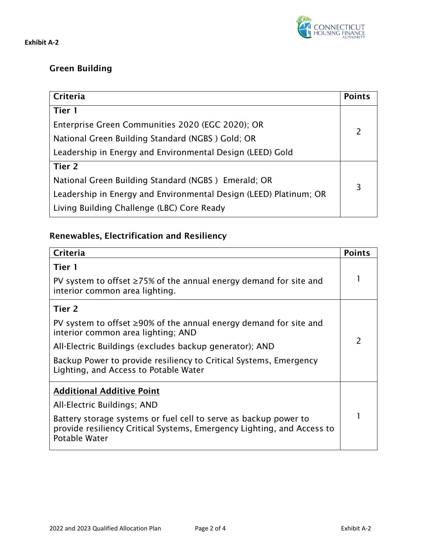

# Green Building

| Criteria                                                          | <b>Points</b>  |
|-------------------------------------------------------------------|----------------|
| Tier 1                                                            |                |
| Enterprise Green Communities 2020 (EGC 2020); OR                  | $\overline{2}$ |
| National Green Building Standard (NGBS) Gold; OR                  |                |
| Leadership in Energy and Environmental Design (LEED) Gold         |                |
| Tier 2                                                            |                |
| National Green Building Standard (NGBS) Emerald; OR               | 3              |
| Leadership in Energy and Environmental Design (LEED) Platinum; OR |                |
| Living Building Challenge (LBC) Core Ready                        |                |

# Renewables, Electrification and Resiliency

| Criteria                                                                                                                                                    | <b>Points</b> |
|-------------------------------------------------------------------------------------------------------------------------------------------------------------|---------------|
| Tier 1                                                                                                                                                      |               |
| PV system to offset $\geq$ 75% of the annual energy demand for site and<br>interior common area lighting.                                                   |               |
| Tier 2                                                                                                                                                      |               |
| PV system to offset $\geq$ 90% of the annual energy demand for site and<br>interior common area lighting; AND                                               |               |
| All-Electric Buildings (excludes backup generator); AND                                                                                                     | 2             |
| Backup Power to provide resiliency to Critical Systems, Emergency<br>Lighting, and Access to Potable Water                                                  |               |
| <b>Additional Additive Point</b>                                                                                                                            |               |
| All-Electric Buildings; AND                                                                                                                                 |               |
| Battery storage systems or fuel cell to serve as backup power to<br>provide resiliency Critical Systems, Emergency Lighting, and Access to<br>Potable Water |               |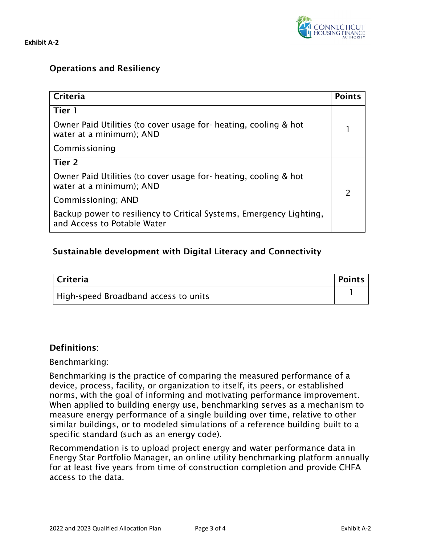**CONNECTICUT**<br>HOUSING FINANCE

**Exhibit A-2**

# Operations and Resiliency

| Criteria                                                                                           | <b>Points</b> |
|----------------------------------------------------------------------------------------------------|---------------|
| Tier 1                                                                                             |               |
| Owner Paid Utilities (to cover usage for- heating, cooling & hot<br>water at a minimum); AND       |               |
| Commissioning                                                                                      |               |
| Tier 2                                                                                             |               |
| Owner Paid Utilities (to cover usage for- heating, cooling & hot<br>water at a minimum); AND       | $\mathcal{P}$ |
| Commissioning; AND                                                                                 |               |
| Backup power to resiliency to Critical Systems, Emergency Lighting,<br>and Access to Potable Water |               |

# Sustainable development with Digital Literacy and Connectivity

| Criteria                             | <b>Points</b> |
|--------------------------------------|---------------|
| High-speed Broadband access to units |               |

# Definitions:

## Benchmarking:

Benchmarking is the practice of comparing the measured performance of a device, process, facility, or organization to itself, its peers, or established norms, with the goal of informing and motivating performance improvement. When applied to building energy use, benchmarking serves as a mechanism to measure energy performance of a single building over time, relative to other similar buildings, or to modeled simulations of a reference building built to a specific standard (such as an energy code).

Recommendation is to upload project energy and water performance data in Energy Star Portfolio Manager, an online utility benchmarking platform annually for at least five years from time of construction completion and provide CHFA access to the data.